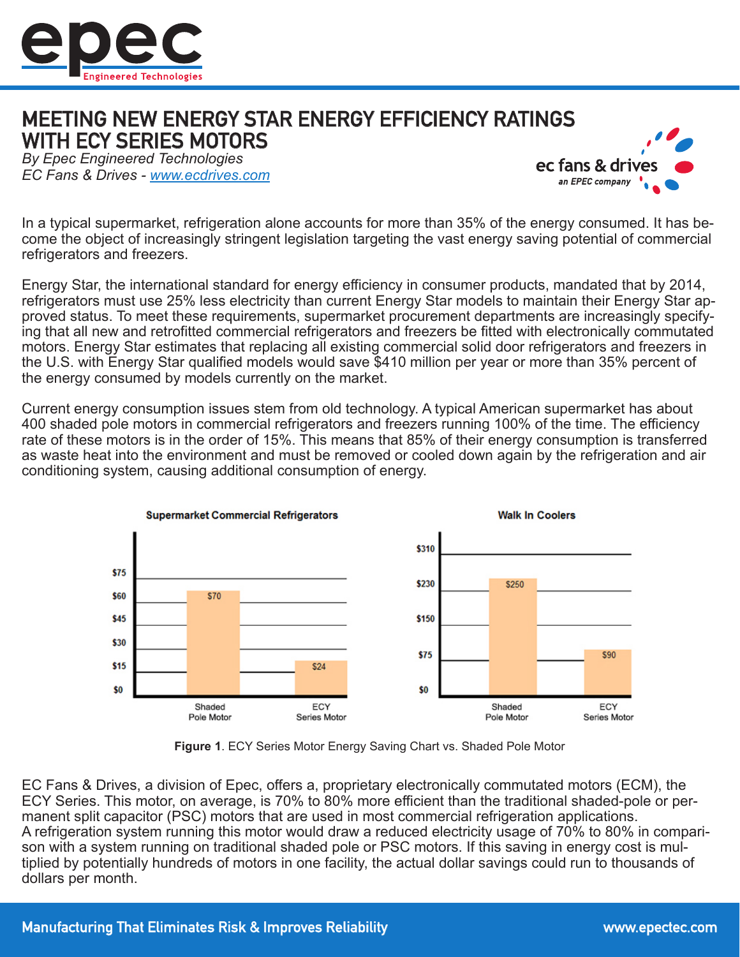

## MEETING NEW ENERGY STAR ENERGY EFFICIENCY RATINGS WITH ECY SERIES MOTORS

*By Epec Engineered Technologies EC Fans & Drives - www.ecdrives.com*



In a typical supermarket, refrigeration alone accounts for more than 35% of the energy consumed. It has become the object of increasingly stringent legislation targeting the vast energy saving potential of commercial refrigerators and freezers.

Energy Star, the international standard for energy efficiency in consumer products, mandated that by 2014, refrigerators must use 25% less electricity than current Energy Star models to maintain their Energy Star approved status. To meet these requirements, supermarket procurement departments are increasingly specifying that all new and retrofitted commercial refrigerators and freezers be fitted with electronically commutated motors. Energy Star estimates that replacing all existing commercial solid door refrigerators and freezers in the U.S. with Energy Star qualified models would save \$410 million per year or more than 35% percent of the energy consumed by models currently on the market.

Current energy consumption issues stem from old technology. A typical American supermarket has about 400 shaded pole motors in commercial refrigerators and freezers running 100% of the time. The efficiency rate of these motors is in the order of 15%. This means that 85% of their energy consumption is transferred as waste heat into the environment and must be removed or cooled down again by the refrigeration and air conditioning system, causing additional consumption of energy.



**Figure 1**. ECY Series Motor Energy Saving Chart vs. Shaded Pole Motor

EC Fans & Drives, a division of Epec, offers a, proprietary electronically commutated motors (ECM), the ECY Series. This motor, on average, is 70% to 80% more efficient than the traditional shaded-pole or permanent split capacitor (PSC) motors that are used in most commercial refrigeration applications. A refrigeration system running this motor would draw a reduced electricity usage of 70% to 80% in comparison with a system running on traditional shaded pole or PSC motors. If this saving in energy cost is multiplied by potentially hundreds of motors in one facility, the actual dollar savings could run to thousands of dollars per month.